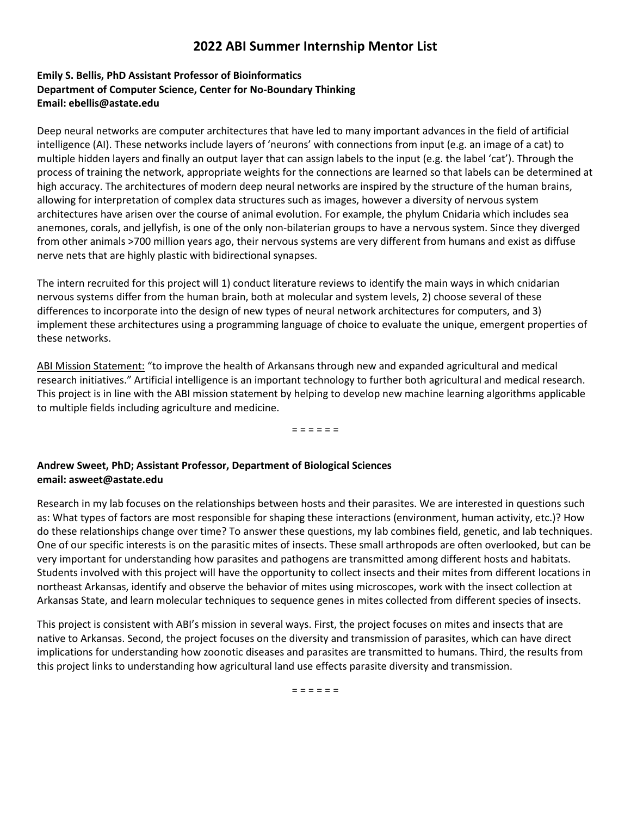## **2022 ABI Summer Internship Mentor List**

## **Emily S. Bellis, PhD Assistant Professor of Bioinformatics Department of Computer Science, Center for No-Boundary Thinking Email: ebellis@astate.edu**

Deep neural networks are computer architectures that have led to many important advances in the field of artificial intelligence (AI). These networks include layers of 'neurons' with connections from input (e.g. an image of a cat) to multiple hidden layers and finally an output layer that can assign labels to the input (e.g. the label 'cat'). Through the process of training the network, appropriate weights for the connections are learned so that labels can be determined at high accuracy. The architectures of modern deep neural networks are inspired by the structure of the human brains, allowing for interpretation of complex data structures such as images, however a diversity of nervous system architectures have arisen over the course of animal evolution. For example, the phylum Cnidaria which includes sea anemones, corals, and jellyfish, is one of the only non-bilaterian groups to have a nervous system. Since they diverged from other animals >700 million years ago, their nervous systems are very different from humans and exist as diffuse nerve nets that are highly plastic with bidirectional synapses.

The intern recruited for this project will 1) conduct literature reviews to identify the main ways in which cnidarian nervous systems differ from the human brain, both at molecular and system levels, 2) choose several of these differences to incorporate into the design of new types of neural network architectures for computers, and 3) implement these architectures using a programming language of choice to evaluate the unique, emergent properties of these networks.

ABI Mission Statement: "to improve the health of Arkansans through new and expanded agricultural and medical research initiatives." Artificial intelligence is an important technology to further both agricultural and medical research. This project is in line with the ABI mission statement by helping to develop new machine learning algorithms applicable to multiple fields including agriculture and medicine.

= = = = = =

## **Andrew Sweet, PhD; Assistant Professor, Department of Biological Sciences email: asweet@astate.edu**

Research in my lab focuses on the relationships between hosts and their parasites. We are interested in questions such as: What types of factors are most responsible for shaping these interactions (environment, human activity, etc.)? How do these relationships change over time? To answer these questions, my lab combines field, genetic, and lab techniques. One of our specific interests is on the parasitic mites of insects. These small arthropods are often overlooked, but can be very important for understanding how parasites and pathogens are transmitted among different hosts and habitats. Students involved with this project will have the opportunity to collect insects and their mites from different locations in northeast Arkansas, identify and observe the behavior of mites using microscopes, work with the insect collection at Arkansas State, and learn molecular techniques to sequence genes in mites collected from different species of insects.

This project is consistent with ABI's mission in several ways. First, the project focuses on mites and insects that are native to Arkansas. Second, the project focuses on the diversity and transmission of parasites, which can have direct implications for understanding how zoonotic diseases and parasites are transmitted to humans. Third, the results from this project links to understanding how agricultural land use effects parasite diversity and transmission.

= = = = = =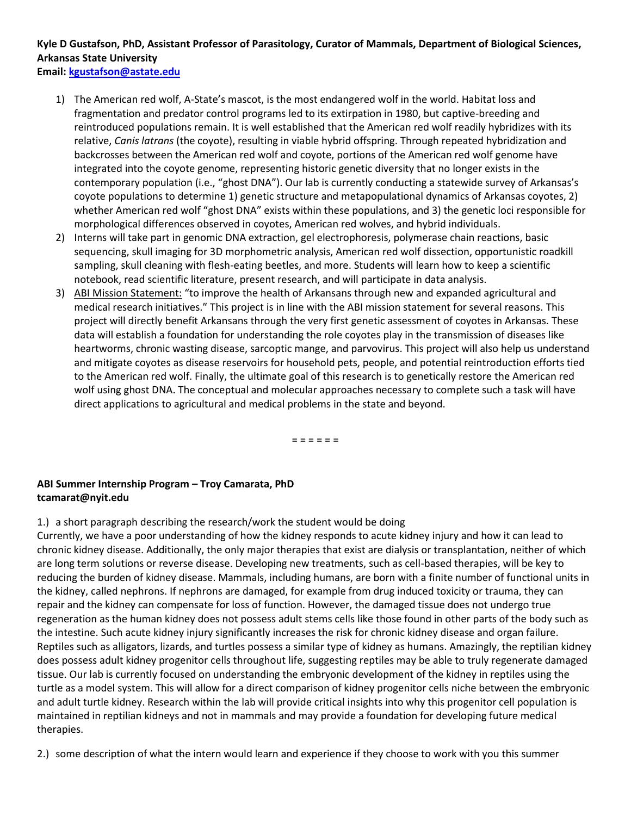# **Kyle D Gustafson, PhD, Assistant Professor of Parasitology, Curator of Mammals, Department of Biological Sciences, Arkansas State University**

**Email[: kgustafson@astate.edu](mailto:kgustafson@astate.edu)**

- 1) The American red wolf, A-State's mascot, is the most endangered wolf in the world. Habitat loss and fragmentation and predator control programs led to its extirpation in 1980, but captive-breeding and reintroduced populations remain. It is well established that the American red wolf readily hybridizes with its relative, *Canis latrans* (the coyote), resulting in viable hybrid offspring. Through repeated hybridization and backcrosses between the American red wolf and coyote, portions of the American red wolf genome have integrated into the coyote genome, representing historic genetic diversity that no longer exists in the contemporary population (i.e., "ghost DNA"). Our lab is currently conducting a statewide survey of Arkansas's coyote populations to determine 1) genetic structure and metapopulational dynamics of Arkansas coyotes, 2) whether American red wolf "ghost DNA" exists within these populations, and 3) the genetic loci responsible for morphological differences observed in coyotes, American red wolves, and hybrid individuals.
- 2) Interns will take part in genomic DNA extraction, gel electrophoresis, polymerase chain reactions, basic sequencing, skull imaging for 3D morphometric analysis, American red wolf dissection, opportunistic roadkill sampling, skull cleaning with flesh-eating beetles, and more. Students will learn how to keep a scientific notebook, read scientific literature, present research, and will participate in data analysis.
- 3) ABI Mission Statement: "to improve the health of Arkansans through new and expanded agricultural and medical research initiatives." This project is in line with the ABI mission statement for several reasons. This project will directly benefit Arkansans through the very first genetic assessment of coyotes in Arkansas. These data will establish a foundation for understanding the role coyotes play in the transmission of diseases like heartworms, chronic wasting disease, sarcoptic mange, and parvovirus. This project will also help us understand and mitigate coyotes as disease reservoirs for household pets, people, and potential reintroduction efforts tied to the American red wolf. Finally, the ultimate goal of this research is to genetically restore the American red wolf using ghost DNA. The conceptual and molecular approaches necessary to complete such a task will have direct applications to agricultural and medical problems in the state and beyond.

= = = = = =

## **ABI Summer Internship Program – Troy Camarata, PhD tcamarat@nyit.edu**

1.) a short paragraph describing the research/work the student would be doing

Currently, we have a poor understanding of how the kidney responds to acute kidney injury and how it can lead to chronic kidney disease. Additionally, the only major therapies that exist are dialysis or transplantation, neither of which are long term solutions or reverse disease. Developing new treatments, such as cell-based therapies, will be key to reducing the burden of kidney disease. Mammals, including humans, are born with a finite number of functional units in the kidney, called nephrons. If nephrons are damaged, for example from drug induced toxicity or trauma, they can repair and the kidney can compensate for loss of function. However, the damaged tissue does not undergo true regeneration as the human kidney does not possess adult stems cells like those found in other parts of the body such as the intestine. Such acute kidney injury significantly increases the risk for chronic kidney disease and organ failure. Reptiles such as alligators, lizards, and turtles possess a similar type of kidney as humans. Amazingly, the reptilian kidney does possess adult kidney progenitor cells throughout life, suggesting reptiles may be able to truly regenerate damaged tissue. Our lab is currently focused on understanding the embryonic development of the kidney in reptiles using the turtle as a model system. This will allow for a direct comparison of kidney progenitor cells niche between the embryonic and adult turtle kidney. Research within the lab will provide critical insights into why this progenitor cell population is maintained in reptilian kidneys and not in mammals and may provide a foundation for developing future medical therapies.

2.) some description of what the intern would learn and experience if they choose to work with you this summer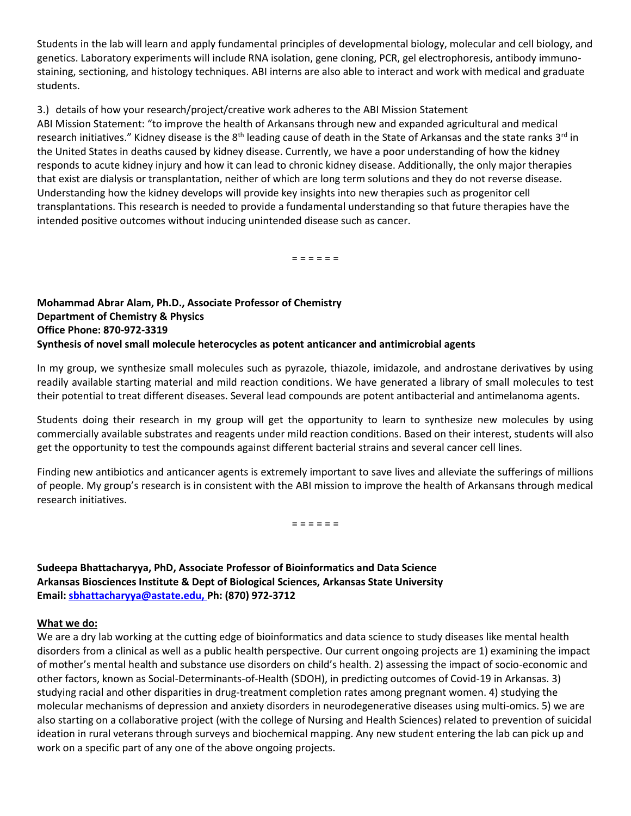Students in the lab will learn and apply fundamental principles of developmental biology, molecular and cell biology, and genetics. Laboratory experiments will include RNA isolation, gene cloning, PCR, gel electrophoresis, antibody immunostaining, sectioning, and histology techniques. ABI interns are also able to interact and work with medical and graduate students.

#### 3.) details of how your research/project/creative work adheres to the ABI Mission Statement

ABI Mission Statement: "to improve the health of Arkansans through new and expanded agricultural and medical research initiatives." Kidney disease is the 8<sup>th</sup> leading cause of death in the State of Arkansas and the state ranks 3<sup>rd</sup> in the United States in deaths caused by kidney disease. Currently, we have a poor understanding of how the kidney responds to acute kidney injury and how it can lead to chronic kidney disease. Additionally, the only major therapies that exist are dialysis or transplantation, neither of which are long term solutions and they do not reverse disease. Understanding how the kidney develops will provide key insights into new therapies such as progenitor cell transplantations. This research is needed to provide a fundamental understanding so that future therapies have the intended positive outcomes without inducing unintended disease such as cancer.

= = = = = =

## **Mohammad Abrar Alam, Ph.D., Associate Professor of Chemistry Department of Chemistry & Physics Office Phone: 870-972-3319 Synthesis of novel small molecule heterocycles as potent anticancer and antimicrobial agents**

In my group, we synthesize small molecules such as pyrazole, thiazole, imidazole, and androstane derivatives by using readily available starting material and mild reaction conditions. We have generated a library of small molecules to test their potential to treat different diseases. Several lead compounds are potent antibacterial and antimelanoma agents.

Students doing their research in my group will get the opportunity to learn to synthesize new molecules by using commercially available substrates and reagents under mild reaction conditions. Based on their interest, students will also get the opportunity to test the compounds against different bacterial strains and several cancer cell lines.

Finding new antibiotics and anticancer agents is extremely important to save lives and alleviate the sufferings of millions of people. My group's research is in consistent with the ABI mission to improve the health of Arkansans through medical research initiatives.

= = = = = =

**Sudeepa Bhattacharyya, PhD, Associate Professor of Bioinformatics and Data Science Arkansas Biosciences Institute & Dept of Biological Sciences, Arkansas State University Email[: sbhattacharyya@astate.edu,](mailto:sbhattacharyya@astate.edu) Ph: (870) 972-3712**

#### **What we do:**

We are a dry lab working at the cutting edge of bioinformatics and data science to study diseases like mental health disorders from a clinical as well as a public health perspective. Our current ongoing projects are 1) examining the impact of mother's mental health and substance use disorders on child's health. 2) assessing the impact of socio-economic and other factors, known as Social-Determinants-of-Health (SDOH), in predicting outcomes of Covid-19 in Arkansas. 3) studying racial and other disparities in drug-treatment completion rates among pregnant women. 4) studying the molecular mechanisms of depression and anxiety disorders in neurodegenerative diseases using multi-omics. 5) we are also starting on a collaborative project (with the college of Nursing and Health Sciences) related to prevention of suicidal ideation in rural veterans through surveys and biochemical mapping. Any new student entering the lab can pick up and work on a specific part of any one of the above ongoing projects.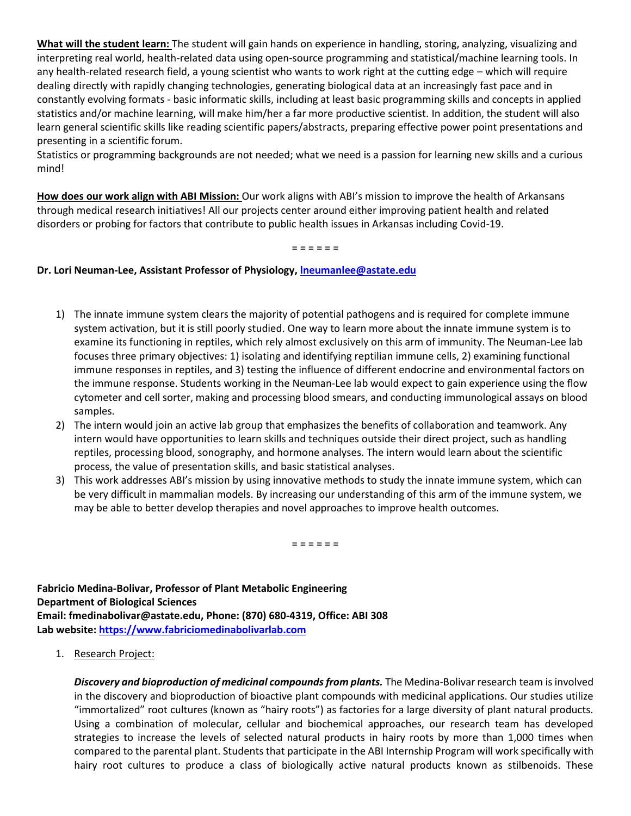**What will the student learn:** The student will gain hands on experience in handling, storing, analyzing, visualizing and interpreting real world, health-related data using open-source programming and statistical/machine learning tools. In any health-related research field, a young scientist who wants to work right at the cutting edge – which will require dealing directly with rapidly changing technologies, generating biological data at an increasingly fast pace and in constantly evolving formats - basic informatic skills, including at least basic programming skills and concepts in applied statistics and/or machine learning, will make him/her a far more productive scientist. In addition, the student will also learn general scientific skills like reading scientific papers/abstracts, preparing effective power point presentations and presenting in a scientific forum.

Statistics or programming backgrounds are not needed; what we need is a passion for learning new skills and a curious mind!

**How does our work align with ABI Mission:** Our work aligns with ABI's mission to improve the health of Arkansans through medical research initiatives! All our projects center around either improving patient health and related disorders or probing for factors that contribute to public health issues in Arkansas including Covid-19.

= = = = = =

### **Dr. Lori Neuman-Lee, Assistant Professor of Physiology, [lneumanlee@astate.edu](mailto:lneumanlee@astate.edu)**

- 1) The innate immune system clears the majority of potential pathogens and is required for complete immune system activation, but it is still poorly studied. One way to learn more about the innate immune system is to examine its functioning in reptiles, which rely almost exclusively on this arm of immunity. The Neuman-Lee lab focuses three primary objectives: 1) isolating and identifying reptilian immune cells, 2) examining functional immune responses in reptiles, and 3) testing the influence of different endocrine and environmental factors on the immune response. Students working in the Neuman-Lee lab would expect to gain experience using the flow cytometer and cell sorter, making and processing blood smears, and conducting immunological assays on blood samples.
- 2) The intern would join an active lab group that emphasizes the benefits of collaboration and teamwork. Any intern would have opportunities to learn skills and techniques outside their direct project, such as handling reptiles, processing blood, sonography, and hormone analyses. The intern would learn about the scientific process, the value of presentation skills, and basic statistical analyses.
- 3) This work addresses ABI's mission by using innovative methods to study the innate immune system, which can be very difficult in mammalian models. By increasing our understanding of this arm of the immune system, we may be able to better develop therapies and novel approaches to improve health outcomes.

= = = = = =

**Fabricio Medina-Bolivar, Professor of Plant Metabolic Engineering Department of Biological Sciences Email[: fmedinabolivar@astate.edu,](mailto:fmedinabolivar@astate.edu) Phone: (870) 680-4319, Office: ABI 308 Lab website: [https://www.fabriciomedinabolivarlab.com](https://www.fabriciomedinabolivarlab.com/)**

1. Research Project:

*Discovery and bioproduction of medicinal compounds from plants.* The Medina-Bolivar research team is involved in the discovery and bioproduction of bioactive plant compounds with medicinal applications. Our studies utilize "immortalized" root cultures (known as "hairy roots") as factories for a large diversity of plant natural products. Using a combination of molecular, cellular and biochemical approaches, our research team has developed strategies to increase the levels of selected natural products in hairy roots by more than 1,000 times when compared to the parental plant. Students that participate in the ABI Internship Program will work specifically with hairy root cultures to produce a class of biologically active natural products known as stilbenoids. These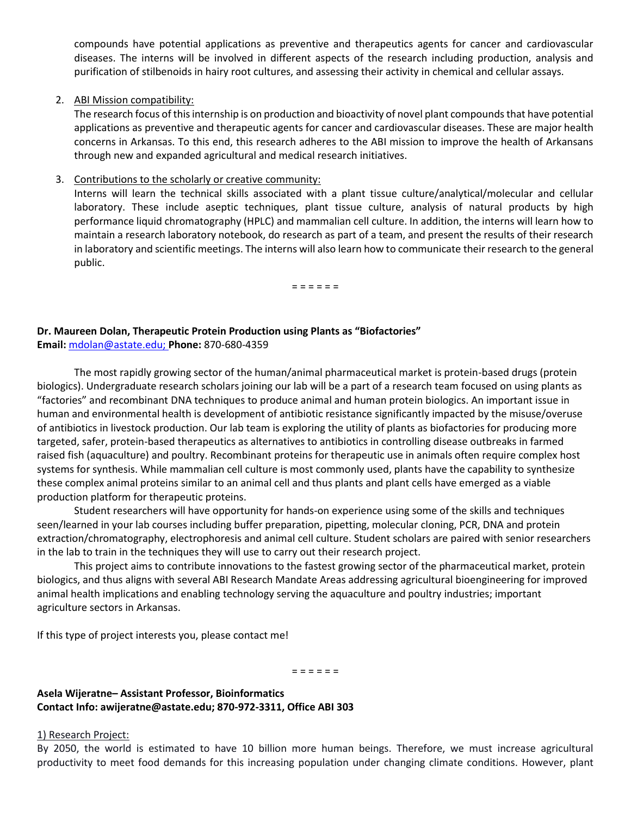compounds have potential applications as preventive and therapeutics agents for cancer and cardiovascular diseases. The interns will be involved in different aspects of the research including production, analysis and purification of stilbenoids in hairy root cultures, and assessing their activity in chemical and cellular assays.

#### 2. ABI Mission compatibility:

The research focus of this internship is on production and bioactivity of novel plant compounds that have potential applications as preventive and therapeutic agents for cancer and cardiovascular diseases. These are major health concerns in Arkansas. To this end, this research adheres to the ABI mission to improve the health of Arkansans through new and expanded agricultural and medical research initiatives.

#### 3. Contributions to the scholarly or creative community:

Interns will learn the technical skills associated with a plant tissue culture/analytical/molecular and cellular laboratory. These include aseptic techniques, plant tissue culture, analysis of natural products by high performance liquid chromatography (HPLC) and mammalian cell culture. In addition, the interns will learn how to maintain a research laboratory notebook, do research as part of a team, and present the results of their research in laboratory and scientific meetings. The interns will also learn how to communicate their research to the general public.

= = = = = =

## **Dr. Maureen Dolan, Therapeutic Protein Production using Plants as "Biofactories"**

**Email:** [mdolan@astate.edu;](mailto:mdolan@astate.edu) **Phone:** 870-680-4359

The most rapidly growing sector of the human/animal pharmaceutical market is protein-based drugs (protein biologics). Undergraduate research scholars joining our lab will be a part of a research team focused on using plants as "factories" and recombinant DNA techniques to produce animal and human protein biologics. An important issue in human and environmental health is development of antibiotic resistance significantly impacted by the misuse/overuse of antibiotics in livestock production. Our lab team is exploring the utility of plants as biofactories for producing more targeted, safer, protein-based therapeutics as alternatives to antibiotics in controlling disease outbreaks in farmed raised fish (aquaculture) and poultry. Recombinant proteins for therapeutic use in animals often require complex host systems for synthesis. While mammalian cell culture is most commonly used, plants have the capability to synthesize these complex animal proteins similar to an animal cell and thus plants and plant cells have emerged as a viable production platform for therapeutic proteins.

Student researchers will have opportunity for hands-on experience using some of the skills and techniques seen/learned in your lab courses including buffer preparation, pipetting, molecular cloning, PCR, DNA and protein extraction/chromatography, electrophoresis and animal cell culture. Student scholars are paired with senior researchers in the lab to train in the techniques they will use to carry out their research project.

This project aims to contribute innovations to the fastest growing sector of the pharmaceutical market, protein biologics, and thus aligns with several ABI Research Mandate Areas addressing agricultural bioengineering for improved animal health implications and enabling technology serving the aquaculture and poultry industries; important agriculture sectors in Arkansas.

If this type of project interests you, please contact me!

= = = = = =

#### **Asela Wijeratne– Assistant Professor, Bioinformatics Contact Info: awijeratne@astate.edu; 870-972-3311, Office ABI 303**

#### 1) Research Project:

By 2050, the world is estimated to have 10 billion more human beings. Therefore, we must increase agricultural productivity to meet food demands for this increasing population under changing climate conditions. However, plant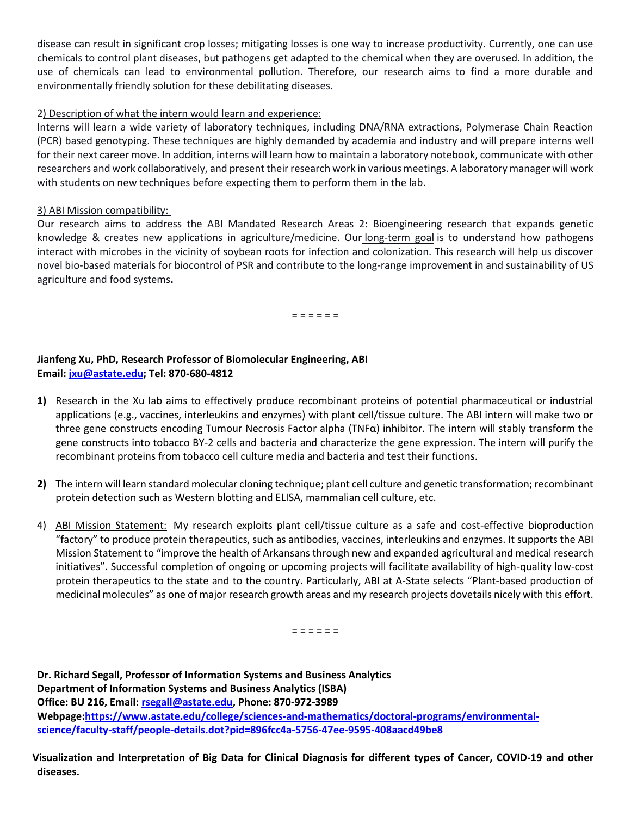disease can result in significant crop losses; mitigating losses is one way to increase productivity. Currently, one can use chemicals to control plant diseases, but pathogens get adapted to the chemical when they are overused. In addition, the use of chemicals can lead to environmental pollution. Therefore, our research aims to find a more durable and environmentally friendly solution for these debilitating diseases.

## 2) Description of what the intern would learn and experience:

Interns will learn a wide variety of laboratory techniques, including DNA/RNA extractions, Polymerase Chain Reaction (PCR) based genotyping. These techniques are highly demanded by academia and industry and will prepare interns well for their next career move. In addition, interns will learn how to maintain a laboratory notebook, communicate with other researchers and work collaboratively, and present their research work in various meetings. A laboratory manager will work with students on new techniques before expecting them to perform them in the lab.

#### 3) ABI Mission compatibility:

Our research aims to address the ABI Mandated Research Areas 2: Bioengineering research that expands genetic knowledge & creates new applications in agriculture/medicine. Our long-term goal is to understand how pathogens interact with microbes in the vicinity of soybean roots for infection and colonization. This research will help us discover novel bio-based materials for biocontrol of PSR and contribute to the long-range improvement in and sustainability of US agriculture and food systems**.**

= = = = = =

## **Jianfeng Xu, PhD, Research Professor of Biomolecular Engineering, ABI Email[: jxu@astate.edu;](mailto:jxu@astate.edu) Tel: 870-680-4812**

- **1)** Research in the Xu lab aims to effectively produce recombinant proteins of potential pharmaceutical or industrial applications (e.g., vaccines, interleukins and enzymes) with plant cell/tissue culture. The ABI intern will make two or three gene constructs encoding Tumour Necrosis Factor alpha (TNFα) inhibitor. The intern will stably transform the gene constructs into tobacco BY-2 cells and bacteria and characterize the gene expression. The intern will purify the recombinant proteins from tobacco cell culture media and bacteria and test their functions.
- **2)** The intern will learn standard molecular cloning technique; plant cell culture and genetic transformation; recombinant protein detection such as Western blotting and ELISA, mammalian cell culture, etc.
- 4) ABI Mission Statement: My research exploits plant cell/tissue culture as a safe and cost-effective bioproduction "factory" to produce protein therapeutics, such as antibodies, vaccines, interleukins and enzymes. It supports the ABI Mission Statement to "improve the health of Arkansans through new and expanded agricultural and medical research initiatives". Successful completion of ongoing or upcoming projects will facilitate availability of high-quality low-cost protein therapeutics to the state and to the country. Particularly, ABI at A-State selects "Plant-based production of medicinal molecules" as one of major research growth areas and my research projects dovetails nicely with this effort.

= = = = = =

**Dr. Richard Segall, Professor of Information Systems and Business Analytics Department of Information Systems and Business Analytics (ISBA) Office: BU 216, Email: [rsegall@astate.edu,](about:blank) Phone: 870-972-3989 Webpage[:https://www.astate.edu/college/sciences-and-mathematics/doctoral-programs/environmental](about:blank)[science/faculty-staff/people-details.dot?pid=896fcc4a-5756-47ee-9595-408aacd49be8](about:blank)**

**Visualization and Interpretation of Big Data for Clinical Diagnosis for different types of Cancer, COVID-19 and other diseases.**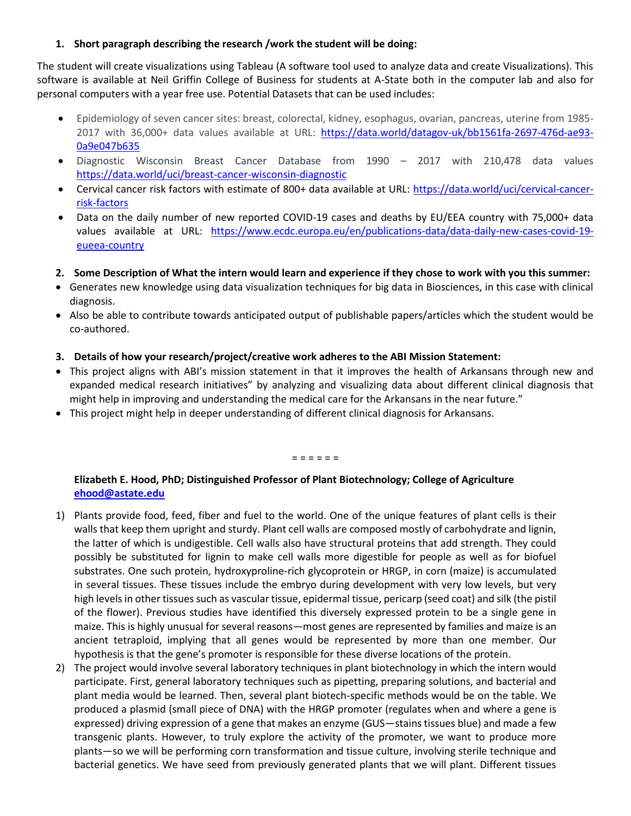### **1. Short paragraph describing the research /work the student will be doing:**

The student will create visualizations using Tableau (A software tool used to analyze data and create Visualizations). This software is available at Neil Griffin College of Business for students at A-State both in the computer lab and also for personal computers with a year free use. Potential Datasets that can be used includes:

- Epidemiology of seven cancer sites: breast, colorectal, kidney, esophagus, ovarian, pancreas, uterine from 1985- 2017 with 36,000+ data values available at URL: [https://data.world/datagov-uk/bb1561fa-2697-476d-ae93-](about:blank) [0a9e047b635](about:blank)
- Diagnostic Wisconsin Breast Cancer Database from 1990 2017 with 210,478 data values [https://data.world/uci/breast-cancer-wisconsin-diagnostic](about:blank)
- Cervical cancer risk factors with estimate of 800+ data available at URL: [https://data.world/uci/cervical-cancer](about:blank)[risk-factors](about:blank)
- Data on the daily number of new reported COVID-19 cases and deaths by EU/EEA country with 75,000+ data values available at URL: [https://www.ecdc.europa.eu/en/publications-data/data-daily-new-cases-covid-19](about:blank) [eueea-country](about:blank)
- **2. Some Description of What the intern would learn and experience if they chose to work with you this summer:**
- Generates new knowledge using data visualization techniques for big data in Biosciences, in this case with clinical diagnosis.
- Also be able to contribute towards anticipated output of publishable papers/articles which the student would be co-authored.
- **3. Details of how your research/project/creative work adheres to the ABI Mission Statement:**
- This project aligns with ABI's mission statement in that it improves the health of Arkansans through new and expanded medical research initiatives" by analyzing and visualizing data about different clinical diagnosis that might help in improving and understanding the medical care for the Arkansans in the near future."
- This project might help in deeper understanding of different clinical diagnosis for Arkansans.

= = = = = =

#### **Elizabeth E. Hood, PhD; Distinguished Professor of Plant Biotechnology; College of Agriculture [ehood@astate.edu](mailto:ehood@astate.edu)**

- 1) Plants provide food, feed, fiber and fuel to the world. One of the unique features of plant cells is their walls that keep them upright and sturdy. Plant cell walls are composed mostly of carbohydrate and lignin, the latter of which is undigestible. Cell walls also have structural proteins that add strength. They could possibly be substituted for lignin to make cell walls more digestible for people as well as for biofuel substrates. One such protein, hydroxyproline-rich glycoprotein or HRGP, in corn (maize) is accumulated in several tissues. These tissues include the embryo during development with very low levels, but very high levels in other tissues such as vascular tissue, epidermal tissue, pericarp (seed coat) and silk (the pistil of the flower). Previous studies have identified this diversely expressed protein to be a single gene in maize. This is highly unusual for several reasons—most genes are represented by families and maize is an ancient tetraploid, implying that all genes would be represented by more than one member. Our hypothesis is that the gene's promoter is responsible for these diverse locations of the protein.
- 2) The project would involve several laboratory techniques in plant biotechnology in which the intern would participate. First, general laboratory techniques such as pipetting, preparing solutions, and bacterial and plant media would be learned. Then, several plant biotech-specific methods would be on the table. We produced a plasmid (small piece of DNA) with the HRGP promoter (regulates when and where a gene is expressed) driving expression of a gene that makes an enzyme (GUS—stains tissues blue) and made a few transgenic plants. However, to truly explore the activity of the promoter, we want to produce more plants—so we will be performing corn transformation and tissue culture, involving sterile technique and bacterial genetics. We have seed from previously generated plants that we will plant. Different tissues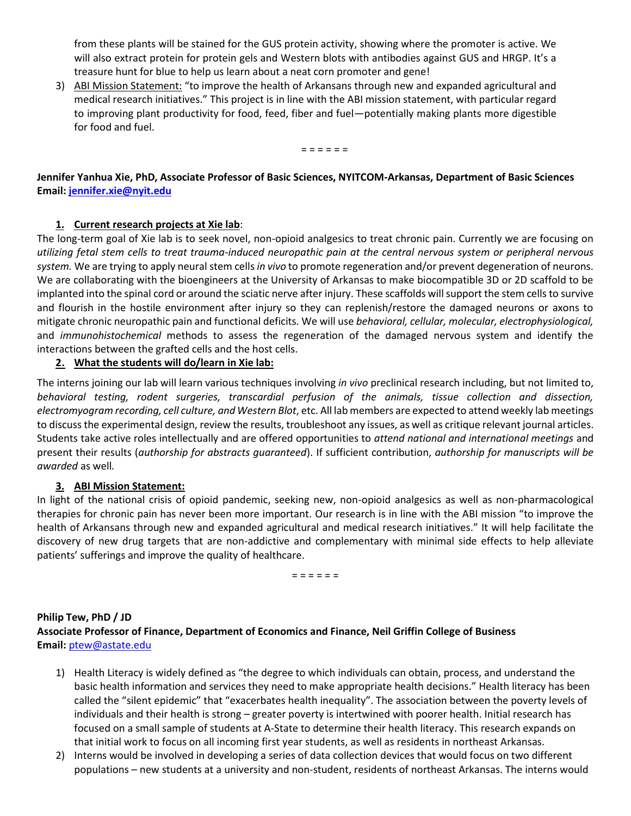from these plants will be stained for the GUS protein activity, showing where the promoter is active. We will also extract protein for protein gels and Western blots with antibodies against GUS and HRGP. It's a treasure hunt for blue to help us learn about a neat corn promoter and gene!

3) ABI Mission Statement: "to improve the health of Arkansans through new and expanded agricultural and medical research initiatives." This project is in line with the ABI mission statement, with particular regard to improving plant productivity for food, feed, fiber and fuel—potentially making plants more digestible for food and fuel.

= = = = = =

## **Jennifer Yanhua Xie, PhD, Associate Professor of Basic Sciences, NYITCOM-Arkansas, Department of Basic Sciences Email[: jennifer.xie@nyit.edu](mailto:jennifer.xie@nyit.edu)**

## **1. Current research projects at Xie lab**:

The long-term goal of Xie lab is to seek novel, non-opioid analgesics to treat chronic pain. Currently we are focusing on *utilizing fetal stem cells to treat trauma-induced neuropathic pain at the central nervous system or peripheral nervous system.* We are trying to apply neural stem cells *in vivo* to promote regeneration and/or prevent degeneration of neurons. We are collaborating with the bioengineers at the University of Arkansas to make biocompatible 3D or 2D scaffold to be implanted into the spinal cord or around the sciatic nerve after injury. These scaffolds will support the stem cells to survive and flourish in the hostile environment after injury so they can replenish/restore the damaged neurons or axons to mitigate chronic neuropathic pain and functional deficits. We will use *behavioral, cellular, molecular, electrophysiological,*  and *immunohistochemical* methods to assess the regeneration of the damaged nervous system and identify the interactions between the grafted cells and the host cells.

## **2. What the students will do/learn in Xie lab:**

The interns joining our lab will learn various techniques involving *in vivo* preclinical research including, but not limited to, *behavioral testing, rodent surgeries, transcardial perfusion of the animals, tissue collection and dissection, electromyogram recording, cell culture, and Western Blot*, etc. All lab members are expected to attend weekly lab meetings to discuss the experimental design, review the results, troubleshoot any issues, as well as critique relevant journal articles. Students take active roles intellectually and are offered opportunities to *attend national and international meetings* and present their results (*authorship for abstracts guaranteed*). If sufficient contribution, *authorship for manuscripts will be awarded* as well*.* 

## **3. ABI Mission Statement:**

In light of the national crisis of opioid pandemic, seeking new, non-opioid analgesics as well as non-pharmacological therapies for chronic pain has never been more important. Our research is in line with the ABI mission "to improve the health of Arkansans through new and expanded agricultural and medical research initiatives." It will help facilitate the discovery of new drug targets that are non-addictive and complementary with minimal side effects to help alleviate patients' sufferings and improve the quality of healthcare.

= = = = = =

## **Philip Tew, PhD / JD Associate Professor of Finance, Department of Economics and Finance, Neil Griffin College of Business Email:** [ptew@astate.edu](mailto:ptew@astate.edu)

- 1) Health Literacy is widely defined as "the degree to which individuals can obtain, process, and understand the basic health information and services they need to make appropriate health decisions." Health literacy has been called the "silent epidemic" that "exacerbates health inequality". The association between the poverty levels of individuals and their health is strong – greater poverty is intertwined with poorer health. Initial research has focused on a small sample of students at A-State to determine their health literacy. This research expands on that initial work to focus on all incoming first year students, as well as residents in northeast Arkansas.
- 2) Interns would be involved in developing a series of data collection devices that would focus on two different populations – new students at a university and non-student, residents of northeast Arkansas. The interns would